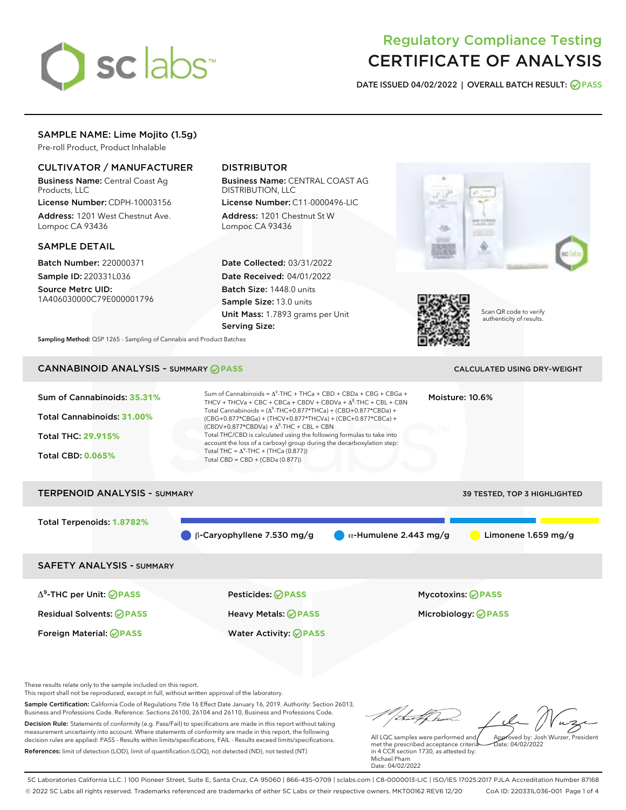# sclabs

# Regulatory Compliance Testing CERTIFICATE OF ANALYSIS

DATE ISSUED 04/02/2022 | OVERALL BATCH RESULT: @ PASS

# SAMPLE NAME: Lime Mojito (1.5g)

Pre-roll Product, Product Inhalable

# CULTIVATOR / MANUFACTURER

Business Name: Central Coast Ag Products, LLC

License Number: CDPH-10003156 Address: 1201 West Chestnut Ave. Lompoc CA 93436

#### SAMPLE DETAIL

Batch Number: 220000371 Sample ID: 220331L036

Source Metrc UID: 1A406030000C79E000001796

# DISTRIBUTOR

Business Name: CENTRAL COAST AG DISTRIBUTION, LLC

License Number: C11-0000496-LIC Address: 1201 Chestnut St W Lompoc CA 93436

Date Collected: 03/31/2022 Date Received: 04/01/2022 Batch Size: 1448.0 units Sample Size: 13.0 units Unit Mass: 1.7893 grams per Unit Serving Size:





Scan QR code to verify authenticity of results.

Sampling Method: QSP 1265 - Sampling of Cannabis and Product Batches

# CANNABINOID ANALYSIS - SUMMARY **PASS** CALCULATED USING DRY-WEIGHT

# Sum of Cannabinoids: **35.31%** Total Cannabinoids: **31.00%** Total THC: **29.915%** Total CBD: **0.065%** Sum of Cannabinoids =  $\Delta^9$ -THC + THCa + CBD + CBDa + CBG + CBGa + THCV + THCVa + CBC + CBCa + CBDV + CBDVa +  $\Delta^8$ -THC + CBL + CBN Total Cannabinoids = ( $\Delta^9$ -THC+0.877\*THCa) + (CBD+0.877\*CBDa) + (CBG+0.877\*CBGa) + (THCV+0.877\*THCVa) + (CBC+0.877\*CBCa) +  $(CBDV+0.877*CBDVa) + \Delta^8$ -THC + CBL + CBN Total THC/CBD is calculated using the following formulas to take into account the loss of a carboxyl group during the decarboxylation step: Total THC =  $\Delta^9$ -THC + (THCa (0.877)) Total CBD = CBD + (CBDa (0.877)) Moisture: 10.6% TERPENOID ANALYSIS - SUMMARY 39 TESTED, TOP 3 HIGHLIGHTED Total Terpenoids: **1.8782%** β-Caryophyllene 7.530 mg/g α-Humulene 2.443 mg/g Limonene 1.659 mg/g SAFETY ANALYSIS - SUMMARY Δ9-THC per Unit: **PASS** Pesticides: **PASS** Mycotoxins: **PASS** Residual Solvents: **PASS** Heavy Metals: **PASS** Microbiology: **PASS**

These results relate only to the sample included on this report.

This report shall not be reproduced, except in full, without written approval of the laboratory.

Sample Certification: California Code of Regulations Title 16 Effect Date January 16, 2019. Authority: Section 26013, Business and Professions Code. Reference: Sections 26100, 26104 and 26110, Business and Professions Code. Decision Rule: Statements of conformity (e.g. Pass/Fail) to specifications are made in this report without taking measurement uncertainty into account. Where statements of conformity are made in this report, the following decision rules are applied: PASS - Results within limits/specifications, FAIL - Results exceed limits/specifications.

Foreign Material: **PASS** Water Activity: **PASS**

References: limit of detection (LOD), limit of quantification (LOQ), not detected (ND), not tested (NT)

Approved by: Josh Wurzer, President

 $hat: 04/02/2022$ 

All LQC samples were performed and met the prescribed acceptance criteria in 4 CCR section 1730, as attested by: Michael Pham Date: 04/02/2022

SC Laboratories California LLC. | 100 Pioneer Street, Suite E, Santa Cruz, CA 95060 | 866-435-0709 | sclabs.com | C8-0000013-LIC | ISO/IES 17025:2017 PJLA Accreditation Number 87168 © 2022 SC Labs all rights reserved. Trademarks referenced are trademarks of either SC Labs or their respective owners. MKT00162 REV6 12/20 CoA ID: 220331L036-001 Page 1 of 4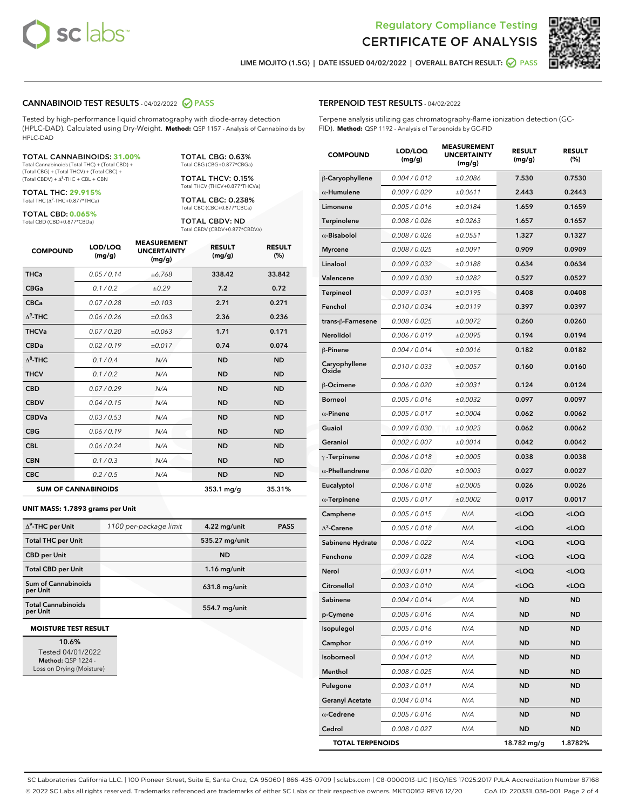



LIME MOJITO (1.5G) | DATE ISSUED 04/02/2022 | OVERALL BATCH RESULT: **⊘** PASS

#### CANNABINOID TEST RESULTS - 04/02/2022 PASS

Tested by high-performance liquid chromatography with diode-array detection (HPLC-DAD). Calculated using Dry-Weight. **Method:** QSP 1157 - Analysis of Cannabinoids by HPLC-DAD

#### TOTAL CANNABINOIDS: **31.00%**

Total Cannabinoids (Total THC) + (Total CBD) + (Total CBG) + (Total THCV) + (Total CBC) +  $(Total CBDV) +  $\Delta^8$ -THC + CBL + CBN$ 

TOTAL THC: **29.915%** Total THC (Δ<sup>9</sup> -THC+0.877\*THCa)

TOTAL CBD: **0.065%** Total CBD (CBD+0.877\*CBDa)

TOTAL CBG: 0.63% Total CBG (CBG+0.877\*CBGa)

TOTAL THCV: 0.15% Total THCV (THCV+0.877\*THCVa)

TOTAL CBC: 0.238% Total CBC (CBC+0.877\*CBCa)

TOTAL CBDV: ND Total CBDV (CBDV+0.877\*CBDVa)

| <b>COMPOUND</b>  | LOD/LOQ<br>(mg/g)          | <b>MEASUREMENT</b><br><b>UNCERTAINTY</b><br>(mg/g) | <b>RESULT</b><br>(mg/g) | <b>RESULT</b><br>(%) |
|------------------|----------------------------|----------------------------------------------------|-------------------------|----------------------|
| <b>THCa</b>      | 0.05 / 0.14                | ±6.768                                             | 338.42                  | 33.842               |
| <b>CBGa</b>      | 0.1/0.2                    | ±0.29                                              | 7.2                     | 0.72                 |
| <b>CBCa</b>      | 0.07/0.28                  | ±0.103                                             | 2.71                    | 0.271                |
| $\Delta^9$ -THC  | 0.06 / 0.26                | ±0.063                                             | 2.36                    | 0.236                |
| <b>THCVa</b>     | 0.07/0.20                  | ±0.063                                             | 1.71                    | 0.171                |
| <b>CBDa</b>      | 0.02/0.19                  | ±0.017                                             | 0.74                    | 0.074                |
| $\Lambda^8$ -THC | 0.1 / 0.4                  | N/A                                                | <b>ND</b>               | <b>ND</b>            |
| <b>THCV</b>      | 0.1/0.2                    | N/A                                                | <b>ND</b>               | <b>ND</b>            |
| <b>CBD</b>       | 0.07/0.29                  | N/A                                                | <b>ND</b>               | <b>ND</b>            |
| <b>CBDV</b>      | 0.04 / 0.15                | N/A                                                | <b>ND</b>               | <b>ND</b>            |
| <b>CBDVa</b>     | 0.03/0.53                  | N/A                                                | <b>ND</b>               | <b>ND</b>            |
| <b>CBG</b>       | 0.06/0.19                  | N/A                                                | <b>ND</b>               | <b>ND</b>            |
| <b>CBL</b>       | 0.06/0.24                  | N/A                                                | <b>ND</b>               | <b>ND</b>            |
| <b>CBN</b>       | 0.1/0.3                    | N/A                                                | <b>ND</b>               | <b>ND</b>            |
| <b>CBC</b>       | 0.2 / 0.5                  | N/A                                                | <b>ND</b>               | <b>ND</b>            |
|                  | <b>SUM OF CANNABINOIDS</b> |                                                    | $353.1$ mg/g            | 35.31%               |

#### **UNIT MASS: 1.7893 grams per Unit**

| $\Delta^9$ -THC per Unit              | 1100 per-package limit | 4.22 mg/unit   | <b>PASS</b> |
|---------------------------------------|------------------------|----------------|-------------|
| <b>Total THC per Unit</b>             |                        | 535.27 mg/unit |             |
| <b>CBD per Unit</b>                   |                        | <b>ND</b>      |             |
| <b>Total CBD per Unit</b>             |                        | $1.16$ mg/unit |             |
| Sum of Cannabinoids<br>per Unit       |                        | 631.8 mg/unit  |             |
| <b>Total Cannabinoids</b><br>per Unit |                        | 554.7 mg/unit  |             |

#### **MOISTURE TEST RESULT**

10.6% Tested 04/01/2022 Method: QSP 1224 - Loss on Drying (Moisture)

#### TERPENOID TEST RESULTS - 04/02/2022

Terpene analysis utilizing gas chromatography-flame ionization detection (GC-FID). **Method:** QSP 1192 - Analysis of Terpenoids by GC-FID

| <b>COMPOUND</b>         | LOD/LOQ<br>(mg/g) | <b>MEASUREMENT</b><br><b>UNCERTAINTY</b><br>(mg/g) | <b>RESULT</b><br>(mg/g)                          | <b>RESULT</b><br>(%) |
|-------------------------|-------------------|----------------------------------------------------|--------------------------------------------------|----------------------|
| β-Caryophyllene         | 0.004 / 0.012     | ±0.2086                                            | 7.530                                            | 0.7530               |
| $\alpha$ -Humulene      | 0.009 / 0.029     | ±0.0611                                            | 2.443                                            | 0.2443               |
| Limonene                | 0.005 / 0.016     | ±0.0184                                            | 1.659                                            | 0.1659               |
| Terpinolene             | 0.008 / 0.026     | ±0.0263                                            | 1.657                                            | 0.1657               |
| $\alpha$ -Bisabolol     | 0.008 / 0.026     | ±0.0551                                            | 1.327                                            | 0.1327               |
| <b>Myrcene</b>          | 0.008 / 0.025     | ±0.0091                                            | 0.909                                            | 0.0909               |
| Linalool                | 0.009 / 0.032     | ±0.0188                                            | 0.634                                            | 0.0634               |
| Valencene               | 0.009 / 0.030     | ±0.0282                                            | 0.527                                            | 0.0527               |
| <b>Terpineol</b>        | 0.009 / 0.031     | ±0.0195                                            | 0.408                                            | 0.0408               |
| Fenchol                 | 0.010 / 0.034     | ±0.0119                                            | 0.397                                            | 0.0397               |
| trans-ß-Farnesene       | 0.008 / 0.025     | ±0.0072                                            | 0.260                                            | 0.0260               |
| Nerolidol               | 0.006 / 0.019     | ±0.0095                                            | 0.194                                            | 0.0194               |
| β-Pinene                | 0.004 / 0.014     | ±0.0016                                            | 0.182                                            | 0.0182               |
| Caryophyllene<br>Oxide  | 0.010 / 0.033     | ±0.0057                                            | 0.160                                            | 0.0160               |
| β-Ocimene               | 0.006 / 0.020     | ±0.0031                                            | 0.124                                            | 0.0124               |
| <b>Borneol</b>          | 0.005 / 0.016     | ±0.0032                                            | 0.097                                            | 0.0097               |
| $\alpha$ -Pinene        | 0.005 / 0.017     | ±0.0004                                            | 0.062                                            | 0.0062               |
| Guaiol                  | 0.009 / 0.030     | ±0.0023                                            | 0.062                                            | 0.0062               |
| Geraniol                | 0.002 / 0.007     | ±0.0014                                            | 0.042                                            | 0.0042               |
| $\gamma$ -Terpinene     | 0.006 / 0.018     | ±0.0005                                            | 0.038                                            | 0.0038               |
| $\alpha$ -Phellandrene  | 0.006 / 0.020     | ±0.0003                                            | 0.027                                            | 0.0027               |
| Eucalyptol              | 0.006 / 0.018     | ±0.0005                                            | 0.026                                            | 0.0026               |
| $\alpha$ -Terpinene     | 0.005 / 0.017     | ±0.0002                                            | 0.017                                            | 0.0017               |
| Camphene                | 0.005 / 0.015     | N/A                                                | <loq< th=""><th><math>&lt;</math>LOQ</th></loq<> | $<$ LOQ              |
| $\Delta^3$ -Carene      | 0.005 / 0.018     | N/A                                                | <loq< th=""><th><loq< th=""></loq<></th></loq<>  | <loq< th=""></loq<>  |
| Sabinene Hydrate        | 0.006 / 0.022     | N/A                                                | <loq< th=""><th><loq< th=""></loq<></th></loq<>  | <loq< th=""></loq<>  |
| Fenchone                | 0.009 / 0.028     | N/A                                                | <loq< th=""><th><math>&lt;</math>LOQ</th></loq<> | $<$ LOQ              |
| Nerol                   | 0.003 / 0.011     | N/A                                                | <loq< th=""><th><loq< th=""></loq<></th></loq<>  | <loq< th=""></loq<>  |
| Citronellol             | 0.003 / 0.010     | N/A                                                | <loq< th=""><th><loq< th=""></loq<></th></loq<>  | <loq< th=""></loq<>  |
| Sabinene                | 0.004 / 0.014     | N/A                                                | ND                                               | ND                   |
| p-Cymene                | 0.005 / 0.016     | N/A                                                | ND                                               | ND                   |
| Isopulegol              | 0.005 / 0.016     | N/A                                                | ND                                               | ND                   |
| Camphor                 | 0.006 / 0.019     | N/A                                                | <b>ND</b>                                        | ND                   |
| Isoborneol              | 0.004 / 0.012     | N/A                                                | ND                                               | <b>ND</b>            |
| Menthol                 | 0.008 / 0.025     | N/A                                                | ND                                               | ND                   |
| Pulegone                | 0.003 / 0.011     | N/A                                                | ND                                               | ND                   |
| <b>Geranyl Acetate</b>  | 0.004 / 0.014     | N/A                                                | <b>ND</b>                                        | <b>ND</b>            |
| $\alpha$ -Cedrene       | 0.005 / 0.016     | N/A                                                | ND                                               | ND                   |
| Cedrol                  | 0.008 / 0.027     | N/A                                                | <b>ND</b>                                        | ND                   |
| <b>TOTAL TERPENOIDS</b> |                   |                                                    | 18.782 mg/g                                      | 1.8782%              |

SC Laboratories California LLC. | 100 Pioneer Street, Suite E, Santa Cruz, CA 95060 | 866-435-0709 | sclabs.com | C8-0000013-LIC | ISO/IES 17025:2017 PJLA Accreditation Number 87168 © 2022 SC Labs all rights reserved. Trademarks referenced are trademarks of either SC Labs or their respective owners. MKT00162 REV6 12/20 CoA ID: 220331L036-001 Page 2 of 4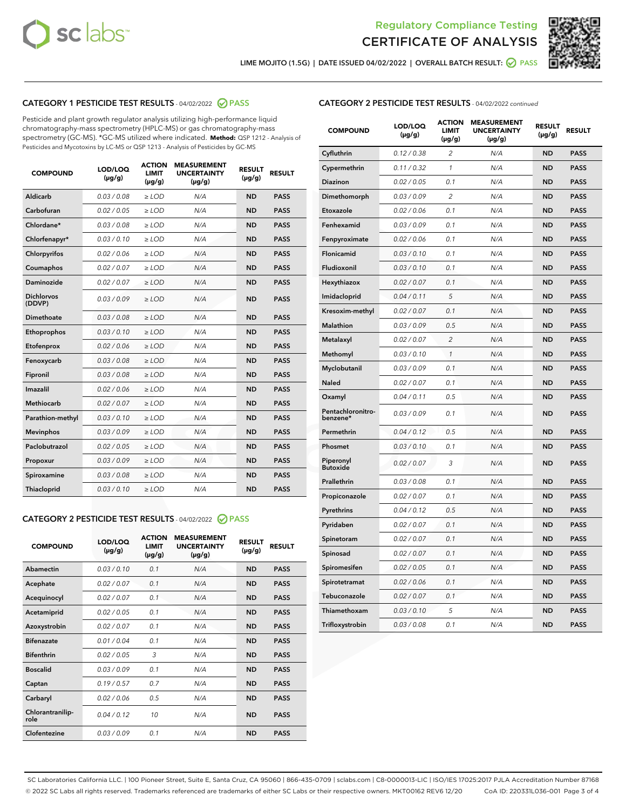



LIME MOJITO (1.5G) | DATE ISSUED 04/02/2022 | OVERALL BATCH RESULT: **⊘** PASS

## CATEGORY 1 PESTICIDE TEST RESULTS - 04/02/2022 2 PASS

Pesticide and plant growth regulator analysis utilizing high-performance liquid chromatography-mass spectrometry (HPLC-MS) or gas chromatography-mass spectrometry (GC-MS). \*GC-MS utilized where indicated. **Method:** QSP 1212 - Analysis of Pesticides and Mycotoxins by LC-MS or QSP 1213 - Analysis of Pesticides by GC-MS

| 0.03 / 0.08<br>Aldicarb<br>$\ge$ LOD<br>N/A<br><b>ND</b><br>Carbofuran<br>0.02/0.05<br>$>$ LOD<br>N/A<br><b>ND</b> | <b>PASS</b><br><b>PASS</b> |
|--------------------------------------------------------------------------------------------------------------------|----------------------------|
|                                                                                                                    |                            |
|                                                                                                                    |                            |
| Chlordane*<br>0.03 / 0.08<br>N/A<br><b>ND</b><br>$\ge$ LOD                                                         | <b>PASS</b>                |
| 0.03/0.10<br><b>ND</b><br>Chlorfenapyr*<br>$\ge$ LOD<br>N/A                                                        | <b>PASS</b>                |
| 0.02/0.06<br>N/A<br><b>ND</b><br>Chlorpyrifos<br>$\ge$ LOD                                                         | <b>PASS</b>                |
| Coumaphos<br>0.02 / 0.07<br>$\geq$ LOD<br>N/A<br><b>ND</b>                                                         | <b>PASS</b>                |
| Daminozide<br>0.02 / 0.07<br>$>$ LOD<br>N/A<br><b>ND</b>                                                           | <b>PASS</b>                |
| <b>Dichlorvos</b><br>0.03 / 0.09<br>N/A<br>$\ge$ LOD<br><b>ND</b><br>(DDVP)                                        | <b>PASS</b>                |
| Dimethoate<br>0.03/0.08<br>N/A<br><b>ND</b><br>$>$ LOD                                                             | <b>PASS</b>                |
| 0.03/0.10<br><b>ND</b><br>Ethoprophos<br>$>$ LOD<br>N/A                                                            | <b>PASS</b>                |
| 0.02 / 0.06<br>N/A<br><b>ND</b><br>Etofenprox<br>$\ge$ LOD                                                         | <b>PASS</b>                |
| 0.03 / 0.08<br>N/A<br><b>ND</b><br>Fenoxycarb<br>$\ge$ LOD                                                         | <b>PASS</b>                |
| 0.03 / 0.08<br>$\ge$ LOD<br>N/A<br><b>ND</b><br>Fipronil                                                           | <b>PASS</b>                |
| Imazalil<br>0.02 / 0.06<br>$>$ LOD<br>N/A<br><b>ND</b>                                                             | <b>PASS</b>                |
| <b>Methiocarb</b><br>0.02 / 0.07<br>$\ge$ LOD<br>N/A<br><b>ND</b>                                                  | <b>PASS</b>                |
| N/A<br><b>ND</b><br>Parathion-methyl<br>0.03/0.10<br>$\ge$ LOD                                                     | <b>PASS</b>                |
| 0.03/0.09<br>$\ge$ LOD<br>N/A<br><b>ND</b><br><b>Mevinphos</b>                                                     | <b>PASS</b>                |
| Paclobutrazol<br>0.02 / 0.05<br>$\ge$ LOD<br>N/A<br><b>ND</b>                                                      | <b>PASS</b>                |
| 0.03/0.09<br>$>$ LOD<br>N/A<br><b>ND</b><br>Propoxur                                                               | <b>PASS</b>                |
| 0.03 / 0.08<br>N/A<br><b>ND</b><br>Spiroxamine<br>$\ge$ LOD                                                        | <b>PASS</b>                |
| <b>ND</b><br>Thiacloprid<br>0.03/0.10<br>$>$ LOD<br>N/A                                                            | <b>PASS</b>                |

### CATEGORY 2 PESTICIDE TEST RESULTS - 04/02/2022 @ PASS

| <b>COMPOUND</b>          | LOD/LOQ<br>$(\mu g/g)$ | <b>ACTION</b><br><b>LIMIT</b><br>$(\mu g/g)$ | <b>MEASUREMENT</b><br><b>UNCERTAINTY</b><br>$(\mu g/g)$ | <b>RESULT</b><br>$(\mu g/g)$ | <b>RESULT</b> |
|--------------------------|------------------------|----------------------------------------------|---------------------------------------------------------|------------------------------|---------------|
| Abamectin                | 0.03/0.10              | 0.1                                          | N/A                                                     | <b>ND</b>                    | <b>PASS</b>   |
| Acephate                 | 0.02/0.07              | 0.1                                          | N/A                                                     | <b>ND</b>                    | <b>PASS</b>   |
| Acequinocyl              | 0.02/0.07              | 0.1                                          | N/A                                                     | <b>ND</b>                    | <b>PASS</b>   |
| Acetamiprid              | 0.02/0.05              | 0.1                                          | N/A                                                     | <b>ND</b>                    | <b>PASS</b>   |
| Azoxystrobin             | 0.02 / 0.07            | 0.1                                          | N/A                                                     | <b>ND</b>                    | <b>PASS</b>   |
| <b>Bifenazate</b>        | 0.01/0.04              | 0.1                                          | N/A                                                     | <b>ND</b>                    | <b>PASS</b>   |
| <b>Bifenthrin</b>        | 0.02 / 0.05            | 3                                            | N/A                                                     | <b>ND</b>                    | <b>PASS</b>   |
| <b>Boscalid</b>          | 0.03/0.09              | 0.1                                          | N/A                                                     | <b>ND</b>                    | <b>PASS</b>   |
| Captan                   | 0.19/0.57              | 0.7                                          | N/A                                                     | <b>ND</b>                    | <b>PASS</b>   |
| Carbaryl                 | 0.02/0.06              | 0.5                                          | N/A                                                     | <b>ND</b>                    | <b>PASS</b>   |
| Chlorantranilip-<br>role | 0.04/0.12              | 10                                           | N/A                                                     | <b>ND</b>                    | <b>PASS</b>   |
| Clofentezine             | 0.03/0.09              | 0.1                                          | N/A                                                     | <b>ND</b>                    | <b>PASS</b>   |

#### CATEGORY 2 PESTICIDE TEST RESULTS - 04/02/2022 continued

| <b>COMPOUND</b>               | LOD/LOQ<br>(µg/g) | <b>ACTION</b><br><b>LIMIT</b><br>(µg/g) | <b>MEASUREMENT</b><br><b>UNCERTAINTY</b><br>(µg/g) | <b>RESULT</b><br>(µg/g) | <b>RESULT</b> |
|-------------------------------|-------------------|-----------------------------------------|----------------------------------------------------|-------------------------|---------------|
| Cyfluthrin                    | 0.12 / 0.38       | $\overline{c}$                          | N/A                                                | <b>ND</b>               | <b>PASS</b>   |
| Cypermethrin                  | 0.11 / 0.32       | $\mathcal{I}$                           | N/A                                                | <b>ND</b>               | <b>PASS</b>   |
| <b>Diazinon</b>               | 0.02 / 0.05       | 0.1                                     | N/A                                                | <b>ND</b>               | <b>PASS</b>   |
| Dimethomorph                  | 0.03 / 0.09       | 2                                       | N/A                                                | <b>ND</b>               | <b>PASS</b>   |
| Etoxazole                     | 0.02 / 0.06       | 0.1                                     | N/A                                                | <b>ND</b>               | <b>PASS</b>   |
| Fenhexamid                    | 0.03 / 0.09       | 0.1                                     | N/A                                                | <b>ND</b>               | <b>PASS</b>   |
| Fenpyroximate                 | 0.02 / 0.06       | 0.1                                     | N/A                                                | <b>ND</b>               | <b>PASS</b>   |
| Flonicamid                    | 0.03 / 0.10       | 0.1                                     | N/A                                                | <b>ND</b>               | <b>PASS</b>   |
| Fludioxonil                   | 0.03 / 0.10       | 0.1                                     | N/A                                                | <b>ND</b>               | <b>PASS</b>   |
| Hexythiazox                   | 0.02 / 0.07       | 0.1                                     | N/A                                                | <b>ND</b>               | <b>PASS</b>   |
| Imidacloprid                  | 0.04 / 0.11       | 5                                       | N/A                                                | <b>ND</b>               | <b>PASS</b>   |
| Kresoxim-methyl               | 0.02 / 0.07       | 0.1                                     | N/A                                                | <b>ND</b>               | <b>PASS</b>   |
| Malathion                     | 0.03 / 0.09       | 0.5                                     | N/A                                                | <b>ND</b>               | <b>PASS</b>   |
| Metalaxyl                     | 0.02 / 0.07       | $\overline{c}$                          | N/A                                                | <b>ND</b>               | <b>PASS</b>   |
| Methomyl                      | 0.03 / 0.10       | 1                                       | N/A                                                | <b>ND</b>               | <b>PASS</b>   |
| Myclobutanil                  | 0.03 / 0.09       | 0.1                                     | N/A                                                | <b>ND</b>               | <b>PASS</b>   |
| <b>Naled</b>                  | 0.02 / 0.07       | 0.1                                     | N/A                                                | <b>ND</b>               | <b>PASS</b>   |
| Oxamyl                        | 0.04 / 0.11       | 0.5                                     | N/A                                                | ND                      | <b>PASS</b>   |
| Pentachloronitro-<br>benzene* | 0.03 / 0.09       | 0.1                                     | N/A                                                | <b>ND</b>               | <b>PASS</b>   |
| Permethrin                    | 0.04 / 0.12       | 0.5                                     | N/A                                                | <b>ND</b>               | <b>PASS</b>   |
| Phosmet                       | 0.03 / 0.10       | 0.1                                     | N/A                                                | <b>ND</b>               | <b>PASS</b>   |
| Piperonyl<br><b>Butoxide</b>  | 0.02 / 0.07       | 3                                       | N/A                                                | <b>ND</b>               | <b>PASS</b>   |
| Prallethrin                   | 0.03 / 0.08       | 0.1                                     | N/A                                                | <b>ND</b>               | <b>PASS</b>   |
| Propiconazole                 | 0.02 / 0.07       | 0.1                                     | N/A                                                | <b>ND</b>               | <b>PASS</b>   |
| Pyrethrins                    | 0.04 / 0.12       | 0.5                                     | N/A                                                | <b>ND</b>               | <b>PASS</b>   |
| Pyridaben                     | 0.02 / 0.07       | 0.1                                     | N/A                                                | <b>ND</b>               | <b>PASS</b>   |
| Spinetoram                    | 0.02 / 0.07       | 0.1                                     | N/A                                                | <b>ND</b>               | <b>PASS</b>   |
| Spinosad                      | 0.02 / 0.07       | 0.1                                     | N/A                                                | <b>ND</b>               | <b>PASS</b>   |
| Spiromesifen                  | 0.02 / 0.05       | 0.1                                     | N/A                                                | <b>ND</b>               | <b>PASS</b>   |
| Spirotetramat                 | 0.02 / 0.06       | 0.1                                     | N/A                                                | <b>ND</b>               | <b>PASS</b>   |
| Tebuconazole                  | 0.02 / 0.07       | 0.1                                     | N/A                                                | <b>ND</b>               | <b>PASS</b>   |
| Thiamethoxam                  | 0.03 / 0.10       | 5                                       | N/A                                                | <b>ND</b>               | <b>PASS</b>   |
| Trifloxystrobin               | 0.03 / 0.08       | 0.1                                     | N/A                                                | <b>ND</b>               | <b>PASS</b>   |

SC Laboratories California LLC. | 100 Pioneer Street, Suite E, Santa Cruz, CA 95060 | 866-435-0709 | sclabs.com | C8-0000013-LIC | ISO/IES 17025:2017 PJLA Accreditation Number 87168 © 2022 SC Labs all rights reserved. Trademarks referenced are trademarks of either SC Labs or their respective owners. MKT00162 REV6 12/20 CoA ID: 220331L036-001 Page 3 of 4